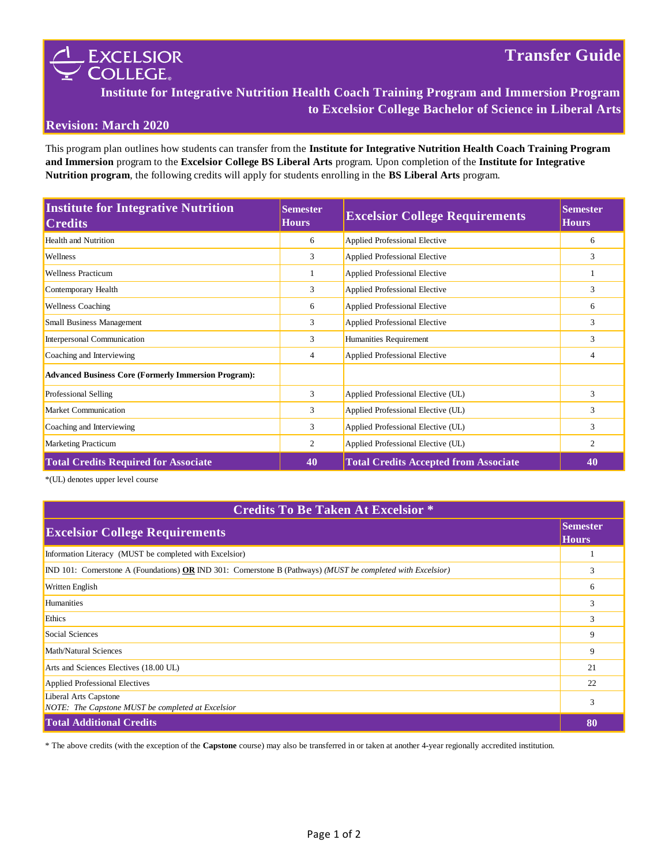

**Institute for Integrative Nutrition Health Coach Training Program and Immersion Program to Excelsior College Bachelor of Science in Liberal Arts**

### **Revision: March 2020**

This program plan outlines how students can transfer from the **Institute for Integrative Nutrition Health Coach Training Program and Immersion** program to the **Excelsior College BS Liberal Arts** program. Upon completion of the **Institute for Integrative Nutrition program**, the following credits will apply for students enrolling in the **BS Liberal Arts** program.

| <b>Institute for Integrative Nutrition</b><br><b>Credits</b> | <b>Semester</b><br><b>Hours</b> | <b>Excelsior College Requirements</b>        | <b>Semester</b><br><b>Hours</b> |
|--------------------------------------------------------------|---------------------------------|----------------------------------------------|---------------------------------|
| <b>Health and Nutrition</b>                                  | 6                               | <b>Applied Professional Elective</b>         | 6                               |
| Wellness                                                     | 3                               | Applied Professional Elective                | 3                               |
| <b>Wellness Practicum</b>                                    | 1                               | Applied Professional Elective                |                                 |
| Contemporary Health                                          | 3                               | Applied Professional Elective                | 3                               |
| <b>Wellness Coaching</b>                                     | 6                               | Applied Professional Elective                | 6                               |
| Small Business Management                                    | 3                               | <b>Applied Professional Elective</b>         | 3                               |
| Interpersonal Communication                                  | 3                               | Humanities Requirement                       | 3                               |
| Coaching and Interviewing                                    | $\overline{4}$                  | Applied Professional Elective                | $\overline{4}$                  |
| <b>Advanced Business Core (Formerly Immersion Program):</b>  |                                 |                                              |                                 |
| Professional Selling                                         | 3                               | Applied Professional Elective (UL)           | 3                               |
| Market Communication                                         | 3                               | Applied Professional Elective (UL)           | 3                               |
| Coaching and Interviewing                                    | 3                               | Applied Professional Elective (UL)           | 3                               |
| <b>Marketing Practicum</b>                                   | 2                               | Applied Professional Elective (UL)           | $\overline{c}$                  |
| <b>Total Credits Required for Associate</b>                  | 40                              | <b>Total Credits Accepted from Associate</b> | 40                              |

\*(UL) denotes upper level course

# **Credits To Be Taken At Excelsior \***

| <b>Excelsior College Requirements</b>                                                                        | Semester<br><b>Hours</b> |
|--------------------------------------------------------------------------------------------------------------|--------------------------|
| Information Literacy (MUST be completed with Excelsior)                                                      |                          |
| IND 101: Cornerstone A (Foundations) OR IND 301: Cornerstone B (Pathways) (MUST be completed with Excelsior) |                          |
| Written English                                                                                              | 6                        |
| <b>Humanities</b>                                                                                            | 3                        |
| Ethics                                                                                                       | 3                        |
| Social Sciences                                                                                              | 9                        |
| Math/Natural Sciences                                                                                        | 9                        |
| Arts and Sciences Electives (18.00 UL)                                                                       | 21                       |
| Applied Professional Electives                                                                               | 22                       |
| Liberal Arts Capstone<br>NOTE: The Capstone MUST be completed at Excelsior                                   | 3                        |
| <b>Total Additional Credits</b>                                                                              | 80                       |

\* The above credits (with the exception of the **Capstone** course) may also be transferred in or taken at another 4-year regionally accredited institution.